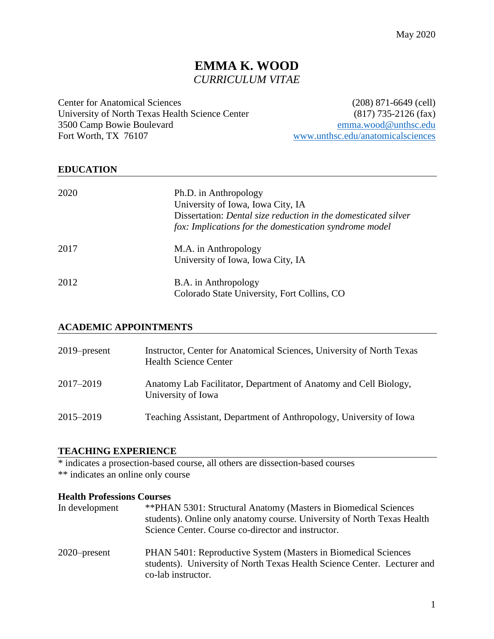# **EMMA K. WOOD** *CURRICULUM VITAE*

Center for Anatomical Sciences (208) 871-6649 (cell) University of North Texas Health Science Center (817) 735-2126 (fax) 3500 Camp Bowie Boulevard [emma.wood@unthsc.edu](mailto:emma.wood@unthsc.edu) Fort Worth, TX 76107 [www.unthsc.edu/anatomicalsciences](http://www.unthsc.edu/anatomicalsciences)

### **EDUCATION**

| 2020 | Ph.D. in Anthropology<br>University of Iowa, Iowa City, IA<br>Dissertation: Dental size reduction in the domesticated silver<br>fox: Implications for the domestication syndrome model |
|------|----------------------------------------------------------------------------------------------------------------------------------------------------------------------------------------|
| 2017 | M.A. in Anthropology                                                                                                                                                                   |
|      | University of Iowa, Iowa City, IA                                                                                                                                                      |
| 2012 | B.A. in Anthropology                                                                                                                                                                   |
|      | Colorado State University, Fort Collins, CO                                                                                                                                            |

### **ACADEMIC APPOINTMENTS**

| $2019$ -present | Instructor, Center for Anatomical Sciences, University of North Texas<br><b>Health Science Center</b> |
|-----------------|-------------------------------------------------------------------------------------------------------|
| 2017-2019       | Anatomy Lab Facilitator, Department of Anatomy and Cell Biology,<br>University of Iowa                |
| 2015–2019       | Teaching Assistant, Department of Anthropology, University of Iowa                                    |

### **TEACHING EXPERIENCE**

\* indicates a prosection-based course, all others are dissection-based courses \*\* indicates an online only course

#### **Health Professions Courses**

| In development  | <b>**PHAN 5301: Structural Anatomy (Masters in Biomedical Sciences</b><br>students). Online only anatomy course. University of North Texas Health<br>Science Center. Course co-director and instructor. |
|-----------------|---------------------------------------------------------------------------------------------------------------------------------------------------------------------------------------------------------|
| $2020$ -present | PHAN 5401: Reproductive System (Masters in Biomedical Sciences<br>students). University of North Texas Health Science Center. Lecturer and<br>co-lab instructor.                                        |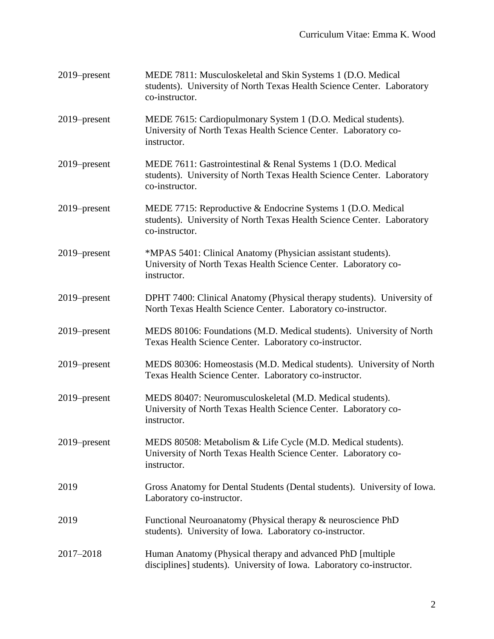| 2019–present    | MEDE 7811: Musculoskeletal and Skin Systems 1 (D.O. Medical<br>students). University of North Texas Health Science Center. Laboratory<br>co-instructor. |
|-----------------|---------------------------------------------------------------------------------------------------------------------------------------------------------|
| 2019–present    | MEDE 7615: Cardiopulmonary System 1 (D.O. Medical students).<br>University of North Texas Health Science Center. Laboratory co-<br>instructor.          |
| 2019–present    | MEDE 7611: Gastrointestinal & Renal Systems 1 (D.O. Medical<br>students). University of North Texas Health Science Center. Laboratory<br>co-instructor. |
| $2019$ -present | MEDE 7715: Reproductive & Endocrine Systems 1 (D.O. Medical<br>students). University of North Texas Health Science Center. Laboratory<br>co-instructor. |
| 2019–present    | *MPAS 5401: Clinical Anatomy (Physician assistant students).<br>University of North Texas Health Science Center. Laboratory co-<br>instructor.          |
| 2019–present    | DPHT 7400: Clinical Anatomy (Physical therapy students). University of<br>North Texas Health Science Center. Laboratory co-instructor.                  |
| 2019–present    | MEDS 80106: Foundations (M.D. Medical students). University of North<br>Texas Health Science Center. Laboratory co-instructor.                          |
| 2019–present    | MEDS 80306: Homeostasis (M.D. Medical students). University of North<br>Texas Health Science Center. Laboratory co-instructor.                          |
| 2019–present    | MEDS 80407: Neuromusculoskeletal (M.D. Medical students).<br>University of North Texas Health Science Center. Laboratory co-<br>instructor.             |
| 2019–present    | MEDS 80508: Metabolism & Life Cycle (M.D. Medical students).<br>University of North Texas Health Science Center. Laboratory co-<br>instructor.          |
| 2019            | Gross Anatomy for Dental Students (Dental students). University of Iowa.<br>Laboratory co-instructor.                                                   |
| 2019            | Functional Neuroanatomy (Physical therapy & neuroscience PhD<br>students). University of Iowa. Laboratory co-instructor.                                |
| 2017-2018       | Human Anatomy (Physical therapy and advanced PhD [multiple]<br>disciplines] students). University of Iowa. Laboratory co-instructor.                    |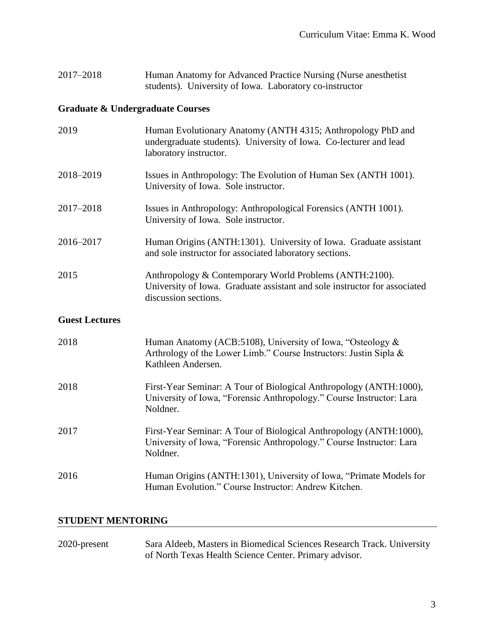| 2017-2018 | Human Anatomy for Advanced Practice Nursing (Nurse anesthetist) |  |
|-----------|-----------------------------------------------------------------|--|
|           | students). University of Iowa. Laboratory co-instructor         |  |

# **Graduate & Undergraduate Courses**

| 2019                  | Human Evolutionary Anatomy (ANTH 4315; Anthropology PhD and<br>undergraduate students). University of Iowa. Co-lecturer and lead<br>laboratory instructor.   |
|-----------------------|--------------------------------------------------------------------------------------------------------------------------------------------------------------|
| 2018-2019             | Issues in Anthropology: The Evolution of Human Sex (ANTH 1001).<br>University of Iowa. Sole instructor.                                                      |
| 2017-2018             | Issues in Anthropology: Anthropological Forensics (ANTH 1001).<br>University of Iowa. Sole instructor.                                                       |
| 2016-2017             | Human Origins (ANTH:1301). University of Iowa. Graduate assistant<br>and sole instructor for associated laboratory sections.                                 |
| 2015                  | Anthropology & Contemporary World Problems (ANTH:2100).<br>University of Iowa. Graduate assistant and sole instructor for associated<br>discussion sections. |
| <b>Guest Lectures</b> |                                                                                                                                                              |
| 2018                  | Human Anatomy (ACB:5108), University of Iowa, "Osteology &<br>Arthrology of the Lower Limb." Course Instructors: Justin Sipla &<br>Kathleen Andersen.        |
| 2018                  | First-Year Seminar: A Tour of Biological Anthropology (ANTH:1000),<br>University of Iowa, "Forensic Anthropology." Course Instructor: Lara<br>Noldner.       |
| 2017                  | First-Year Seminar: A Tour of Biological Anthropology (ANTH:1000),<br>University of Iowa, "Forensic Anthropology." Course Instructor: Lara<br>Noldner.       |
| 2016                  | Human Origins (ANTH:1301), University of Iowa, "Primate Models for<br>Human Evolution." Course Instructor: Andrew Kitchen.                                   |

# **STUDENT MENTORING**

| 2020-present | Sara Aldeeb, Masters in Biomedical Sciences Research Track. University |
|--------------|------------------------------------------------------------------------|
|              | of North Texas Health Science Center. Primary advisor.                 |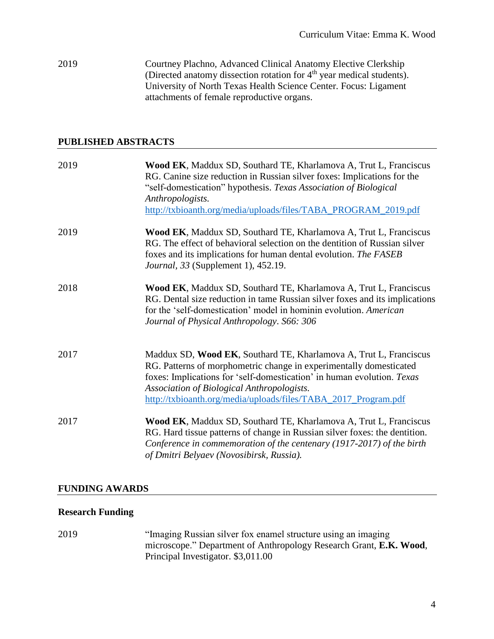2019 Courtney Plachno, Advanced Clinical Anatomy Elective Clerkship (Directed anatomy dissection rotation for 4<sup>th</sup> year medical students). University of North Texas Health Science Center. Focus: Ligament attachments of female reproductive organs.

### **PUBLISHED ABSTRACTS**

| 2019 | Wood EK, Maddux SD, Southard TE, Kharlamova A, Trut L, Franciscus<br>RG. Canine size reduction in Russian silver foxes: Implications for the<br>"self-domestication" hypothesis. Texas Association of Biological<br>Anthropologists.<br>http://txbioanth.org/media/uploads/files/TABA_PROGRAM_2019.pdf                            |
|------|-----------------------------------------------------------------------------------------------------------------------------------------------------------------------------------------------------------------------------------------------------------------------------------------------------------------------------------|
| 2019 | Wood EK, Maddux SD, Southard TE, Kharlamova A, Trut L, Franciscus<br>RG. The effect of behavioral selection on the dentition of Russian silver<br>foxes and its implications for human dental evolution. The FASEB<br><i>Journal, 33</i> (Supplement 1), 452.19.                                                                  |
| 2018 | Wood EK, Maddux SD, Southard TE, Kharlamova A, Trut L, Franciscus<br>RG. Dental size reduction in tame Russian silver foxes and its implications<br>for the 'self-domestication' model in hominin evolution. American<br>Journal of Physical Anthropology. S66: 306                                                               |
| 2017 | Maddux SD, Wood EK, Southard TE, Kharlamova A, Trut L, Franciscus<br>RG. Patterns of morphometric change in experimentally domesticated<br>foxes: Implications for 'self-domestication' in human evolution. Texas<br>Association of Biological Anthropologists.<br>http://txbioanth.org/media/uploads/files/TABA_2017_Program.pdf |
| 2017 | Wood EK, Maddux SD, Southard TE, Kharlamova A, Trut L, Franciscus<br>RG. Hard tissue patterns of change in Russian silver foxes: the dentition.<br>Conference in commemoration of the centenary (1917-2017) of the birth<br>of Dmitri Belyaev (Novosibirsk, Russia).                                                              |

### **FUNDING AWARDS**

### **Research Funding**

2019 "Imaging Russian silver fox enamel structure using an imaging microscope." Department of Anthropology Research Grant, **E.K. Wood**, Principal Investigator. \$3,011.00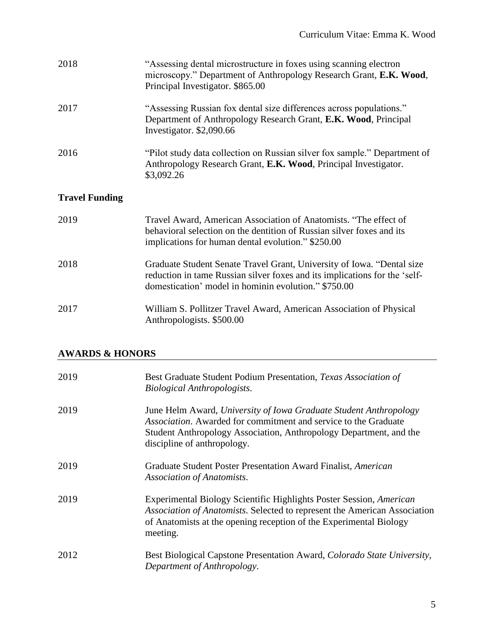| 2018                  | "Assessing dental microstructure in foxes using scanning electron<br>microscopy." Department of Anthropology Research Grant, E.K. Wood,<br>Principal Investigator. \$865.00                                  |
|-----------------------|--------------------------------------------------------------------------------------------------------------------------------------------------------------------------------------------------------------|
| 2017                  | "Assessing Russian fox dental size differences across populations."<br>Department of Anthropology Research Grant, E.K. Wood, Principal<br>Investigator. \$2,090.66                                           |
| 2016                  | "Pilot study data collection on Russian silver fox sample." Department of<br>Anthropology Research Grant, E.K. Wood, Principal Investigator.<br>\$3,092.26                                                   |
| <b>Travel Funding</b> |                                                                                                                                                                                                              |
| 2019                  | Travel Award, American Association of Anatomists. "The effect of<br>behavioral selection on the dentition of Russian silver foxes and its<br>implications for human dental evolution." \$250.00              |
| 2018                  | Graduate Student Senate Travel Grant, University of Iowa. "Dental size<br>reduction in tame Russian silver foxes and its implications for the 'self-<br>domestication' model in hominin evolution." \$750.00 |
| 2017                  | William S. Pollitzer Travel Award, American Association of Physical<br>Anthropologists. \$500.00                                                                                                             |

# **AWARDS & HONORS**

| 2019 | Best Graduate Student Podium Presentation, Texas Association of<br><b>Biological Anthropologists.</b>                                                                                                                                            |
|------|--------------------------------------------------------------------------------------------------------------------------------------------------------------------------------------------------------------------------------------------------|
| 2019 | June Helm Award, University of Iowa Graduate Student Anthropology<br><i>Association.</i> Awarded for commitment and service to the Graduate<br>Student Anthropology Association, Anthropology Department, and the<br>discipline of anthropology. |
| 2019 | Graduate Student Poster Presentation Award Finalist, American<br>Association of Anatomists.                                                                                                                                                      |
| 2019 | Experimental Biology Scientific Highlights Poster Session, American<br>Association of Anatomists. Selected to represent the American Association<br>of Anatomists at the opening reception of the Experimental Biology<br>meeting.               |
| 2012 | Best Biological Capstone Presentation Award, Colorado State University,<br>Department of Anthropology.                                                                                                                                           |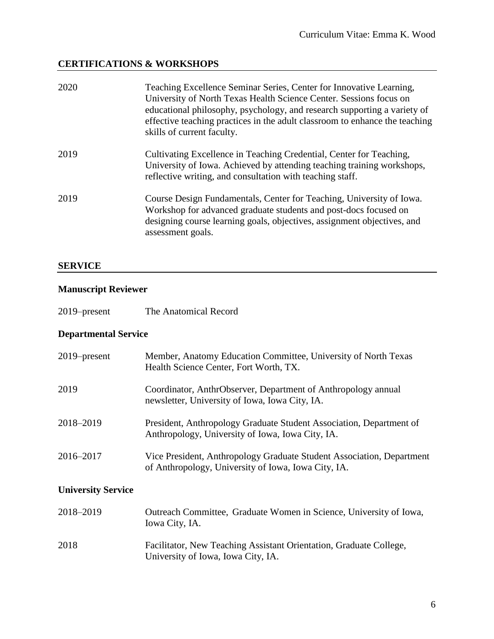# **CERTIFICATIONS & WORKSHOPS**

| 2020 | Teaching Excellence Seminar Series, Center for Innovative Learning,<br>University of North Texas Health Science Center. Sessions focus on<br>educational philosophy, psychology, and research supporting a variety of<br>effective teaching practices in the adult classroom to enhance the teaching<br>skills of current faculty. |
|------|------------------------------------------------------------------------------------------------------------------------------------------------------------------------------------------------------------------------------------------------------------------------------------------------------------------------------------|
| 2019 | Cultivating Excellence in Teaching Credential, Center for Teaching,<br>University of Iowa. Achieved by attending teaching training workshops,<br>reflective writing, and consultation with teaching staff.                                                                                                                         |
| 2019 | Course Design Fundamentals, Center for Teaching, University of Iowa.<br>Workshop for advanced graduate students and post-docs focused on<br>designing course learning goals, objectives, assignment objectives, and<br>assessment goals.                                                                                           |

### **SERVICE**

## **Manuscript Reviewer**

## **Departmental Service**

| $2019$ -present           | Member, Anatomy Education Committee, University of North Texas<br>Health Science Center, Fort Worth, TX.                     |
|---------------------------|------------------------------------------------------------------------------------------------------------------------------|
| 2019                      | Coordinator, AnthrObserver, Department of Anthropology annual<br>newsletter, University of Iowa, Iowa City, IA.              |
| 2018-2019                 | President, Anthropology Graduate Student Association, Department of<br>Anthropology, University of Iowa, Iowa City, IA.      |
| 2016-2017                 | Vice President, Anthropology Graduate Student Association, Department<br>of Anthropology, University of Iowa, Iowa City, IA. |
| <b>University Service</b> |                                                                                                                              |
| 2018-2019                 | Outreach Committee, Graduate Women in Science, University of Iowa,<br>Iowa City, IA.                                         |
|                           |                                                                                                                              |